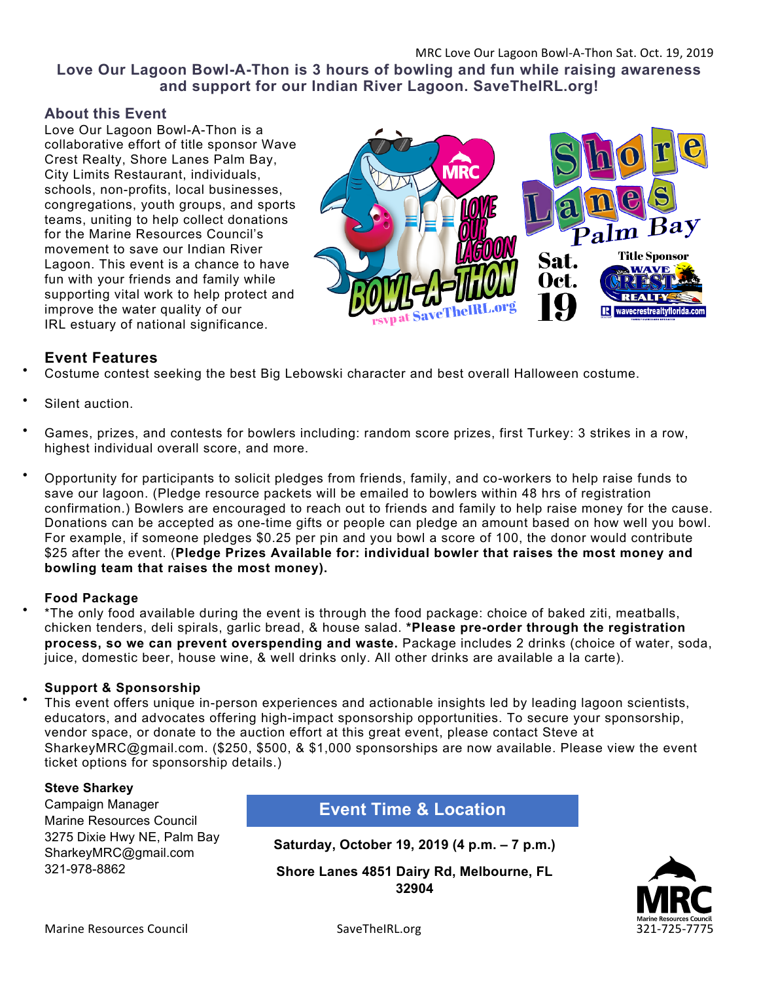**Love Our Lagoon Bowl-A-Thon is 3 hours of bowling and fun while raising awareness and support for our Indian River Lagoon. SaveTheIRL.org!**

#### **About this Event**

Love Our Lagoon Bowl-A-Thon is a collaborative effort of title sponsor Wave Crest Realty, Shore Lanes Palm Bay, City Limits Restaurant, individuals, schools, non-profits, local businesses, congregations, youth groups, and sports teams, uniting to help collect donations for the Marine Resources Council's movement to save our Indian River Lagoon. This event is a chance to have fun with your friends and family while supporting vital work to help protect and improve the water quality of our IRL estuary of national significance.



# **Event Features**

- Costume contest seeking the best Big Lebowski character and best overall Halloween costume.
- Silent auction.
- Games, prizes, and contests for bowlers including: random score prizes, first Turkey: 3 strikes in a row, highest individual overall score, and more.
- Opportunity for participants to solicit pledges from friends, family, and co-workers to help raise funds to save our lagoon. (Pledge resource packets will be emailed to bowlers within 48 hrs of registration confirmation.) Bowlers are encouraged to reach out to friends and family to help raise money for the cause. Donations can be accepted as one-time gifts or people can pledge an amount based on how well you bowl. For example, if someone pledges \$0.25 per pin and you bowl a score of 100, the donor would contribute \$25 after the event. (**Pledge Prizes Available for: individual bowler that raises the most money and bowling team that raises the most money).**

#### **Food Package**

• \*The only food available during the event is through the food package: choice of baked ziti, meatballs, chicken tenders, deli spirals, garlic bread, & house salad. **\*Please pre-order through the registration process, so we can prevent overspending and waste.** Package includes 2 drinks (choice of water, soda, juice, domestic beer, house wine, & well drinks only. All other drinks are available a la carte).

#### **Support & Sponsorship**

• This event offers unique in-person experiences and actionable insights led by leading lagoon scientists, educators, and advocates offering high-impact sponsorship opportunities. To secure your sponsorship, vendor space, or donate to the auction effort at this great event, please contact Steve at SharkeyMRC@gmail.com. (\$250, \$500, & \$1,000 sponsorships are now available. Please view the event ticket options for sponsorship details.)

#### **Steve Sharkey**

Campaign Manager Marine Resources Council 3275 Dixie Hwy NE, Palm Bay SharkeyMRC@gmail.com 321-978-8862

**Event Time & Location**

**Saturday, October 19, 2019 (4 p.m. – 7 p.m.)**

**Shore Lanes 4851 Dairy Rd, Melbourne, FL 32904**

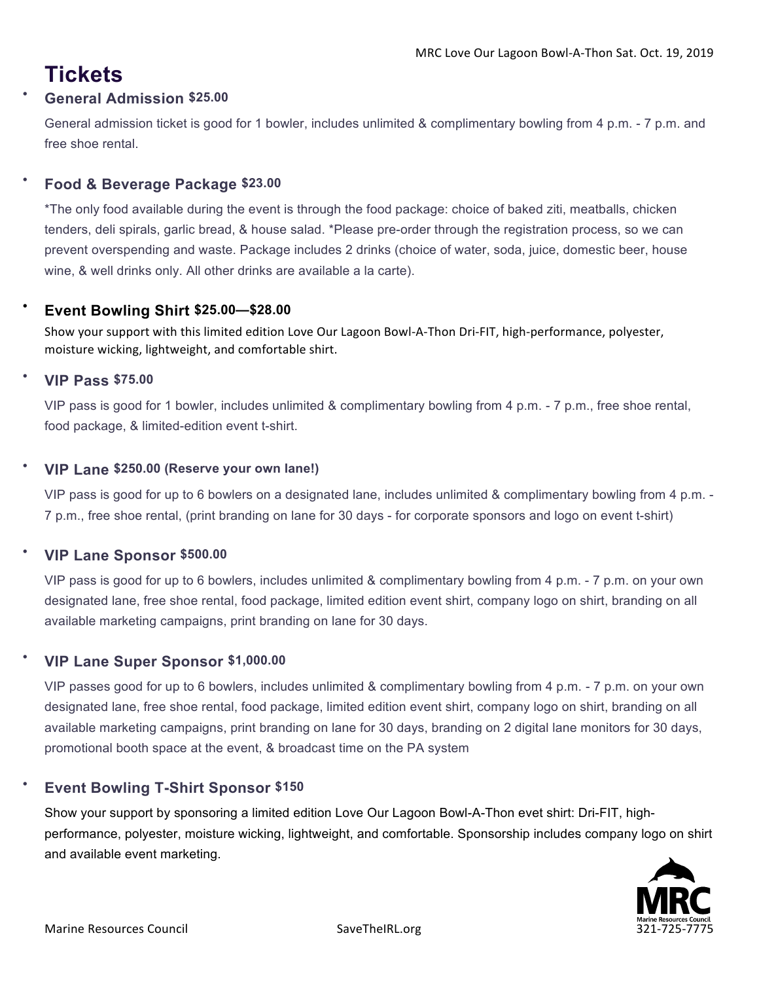# **Tickets**

# • **General Admission \$25.00**

General admission ticket is good for 1 bowler, includes unlimited & complimentary bowling from 4 p.m. - 7 p.m. and free shoe rental.

# • **Food & Beverage Package \$23.00**

\*The only food available during the event is through the food package: choice of baked ziti, meatballs, chicken tenders, deli spirals, garlic bread, & house salad. \*Please pre-order through the registration process, so we can prevent overspending and waste. Package includes 2 drinks (choice of water, soda, juice, domestic beer, house wine, & well drinks only. All other drinks are available a la carte).

# • **Event Bowling Shirt \$25.00—\$28.00**

Show your support with this limited edition Love Our Lagoon Bowl-A-Thon Dri-FIT, high-performance, polyester, moisture wicking, lightweight, and comfortable shirt.

# • **VIP Pass \$75.00**

VIP pass is good for 1 bowler, includes unlimited & complimentary bowling from 4 p.m. - 7 p.m., free shoe rental, food package, & limited-edition event t-shirt.

# • **VIP Lane \$250.00 (Reserve your own lane!)**

VIP pass is good for up to 6 bowlers on a designated lane, includes unlimited & complimentary bowling from 4 p.m. - 7 p.m., free shoe rental, (print branding on lane for 30 days - for corporate sponsors and logo on event t-shirt)

# • **VIP Lane Sponsor \$500.00**

VIP pass is good for up to 6 bowlers, includes unlimited & complimentary bowling from 4 p.m. - 7 p.m. on your own designated lane, free shoe rental, food package, limited edition event shirt, company logo on shirt, branding on all available marketing campaigns, print branding on lane for 30 days.

# • **VIP Lane Super Sponsor \$1,000.00**

VIP passes good for up to 6 bowlers, includes unlimited & complimentary bowling from 4 p.m. - 7 p.m. on your own designated lane, free shoe rental, food package, limited edition event shirt, company logo on shirt, branding on all available marketing campaigns, print branding on lane for 30 days, branding on 2 digital lane monitors for 30 days, promotional booth space at the event, & broadcast time on the PA system

# • **Event Bowling T-Shirt Sponsor \$150**

Show your support by sponsoring a limited edition Love Our Lagoon Bowl-A-Thon evet shirt: Dri-FIT, highperformance, polyester, moisture wicking, lightweight, and comfortable. Sponsorship includes company logo on shirt and available event marketing.

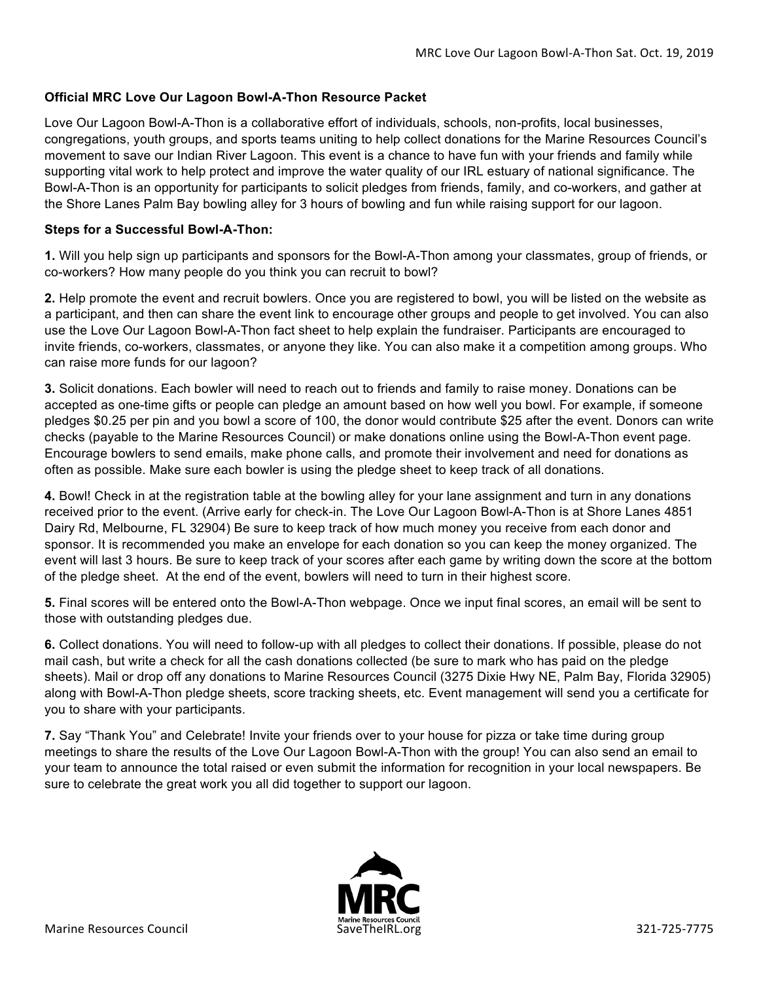#### **Official MRC Love Our Lagoon Bowl-A-Thon Resource Packet**

Love Our Lagoon Bowl-A-Thon is a collaborative effort of individuals, schools, non-profits, local businesses, congregations, youth groups, and sports teams uniting to help collect donations for the Marine Resources Council's movement to save our Indian River Lagoon. This event is a chance to have fun with your friends and family while supporting vital work to help protect and improve the water quality of our IRL estuary of national significance. The Bowl-A-Thon is an opportunity for participants to solicit pledges from friends, family, and co-workers, and gather at the Shore Lanes Palm Bay bowling alley for 3 hours of bowling and fun while raising support for our lagoon.

#### **Steps for a Successful Bowl-A-Thon:**

**1.** Will you help sign up participants and sponsors for the Bowl-A-Thon among your classmates, group of friends, or co-workers? How many people do you think you can recruit to bowl?

**2.** Help promote the event and recruit bowlers. Once you are registered to bowl, you will be listed on the website as a participant, and then can share the event link to encourage other groups and people to get involved. You can also use the Love Our Lagoon Bowl-A-Thon fact sheet to help explain the fundraiser. Participants are encouraged to invite friends, co-workers, classmates, or anyone they like. You can also make it a competition among groups. Who can raise more funds for our lagoon?

**3.** Solicit donations. Each bowler will need to reach out to friends and family to raise money. Donations can be accepted as one-time gifts or people can pledge an amount based on how well you bowl. For example, if someone pledges \$0.25 per pin and you bowl a score of 100, the donor would contribute \$25 after the event. Donors can write checks (payable to the Marine Resources Council) or make donations online using the Bowl-A-Thon event page. Encourage bowlers to send emails, make phone calls, and promote their involvement and need for donations as often as possible. Make sure each bowler is using the pledge sheet to keep track of all donations.

**4.** Bowl! Check in at the registration table at the bowling alley for your lane assignment and turn in any donations received prior to the event. (Arrive early for check-in. The Love Our Lagoon Bowl-A-Thon is at Shore Lanes 4851 Dairy Rd, Melbourne, FL 32904) Be sure to keep track of how much money you receive from each donor and sponsor. It is recommended you make an envelope for each donation so you can keep the money organized. The event will last 3 hours. Be sure to keep track of your scores after each game by writing down the score at the bottom of the pledge sheet. At the end of the event, bowlers will need to turn in their highest score.

**5.** Final scores will be entered onto the Bowl-A-Thon webpage. Once we input final scores, an email will be sent to those with outstanding pledges due.

**6.** Collect donations. You will need to follow-up with all pledges to collect their donations. If possible, please do not mail cash, but write a check for all the cash donations collected (be sure to mark who has paid on the pledge sheets). Mail or drop off any donations to Marine Resources Council (3275 Dixie Hwy NE, Palm Bay, Florida 32905) along with Bowl-A-Thon pledge sheets, score tracking sheets, etc. Event management will send you a certificate for you to share with your participants.

**7.** Say "Thank You" and Celebrate! Invite your friends over to your house for pizza or take time during group meetings to share the results of the Love Our Lagoon Bowl-A-Thon with the group! You can also send an email to your team to announce the total raised or even submit the information for recognition in your local newspapers. Be sure to celebrate the great work you all did together to support our lagoon.

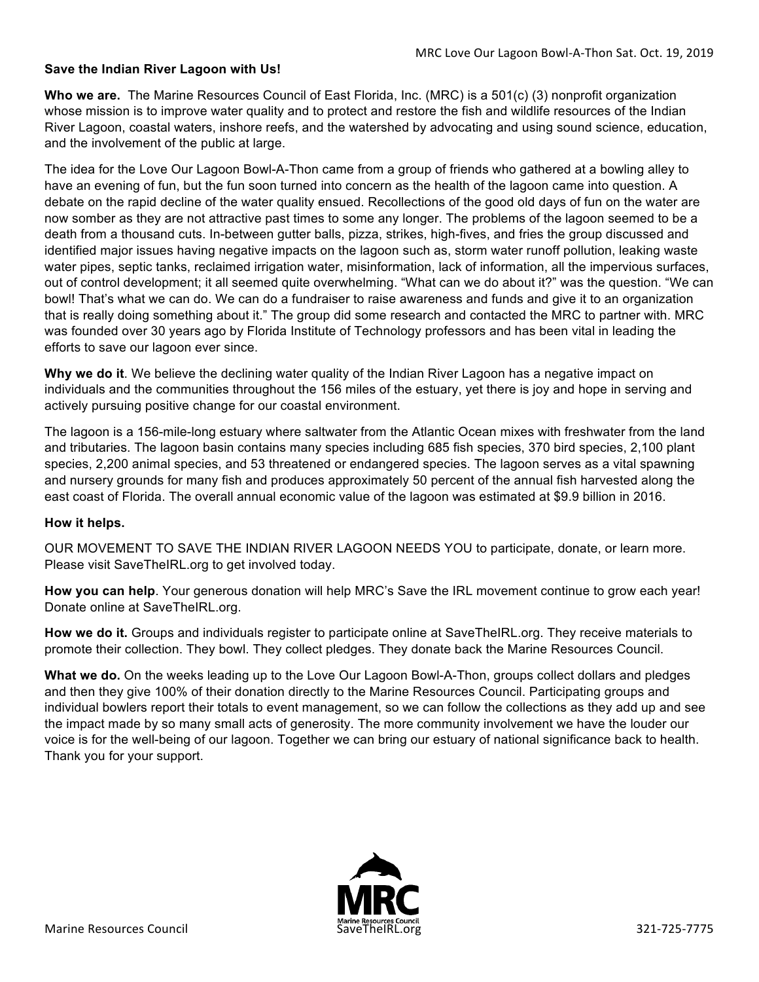#### **Save the Indian River Lagoon with Us!**

**Who we are.** The Marine Resources Council of East Florida, Inc. (MRC) is a 501(c) (3) nonprofit organization whose mission is to improve water quality and to protect and restore the fish and wildlife resources of the Indian River Lagoon, coastal waters, inshore reefs, and the watershed by advocating and using sound science, education, and the involvement of the public at large.

The idea for the Love Our Lagoon Bowl-A-Thon came from a group of friends who gathered at a bowling alley to have an evening of fun, but the fun soon turned into concern as the health of the lagoon came into question. A debate on the rapid decline of the water quality ensued. Recollections of the good old days of fun on the water are now somber as they are not attractive past times to some any longer. The problems of the lagoon seemed to be a death from a thousand cuts. In-between gutter balls, pizza, strikes, high-fives, and fries the group discussed and identified major issues having negative impacts on the lagoon such as, storm water runoff pollution, leaking waste water pipes, septic tanks, reclaimed irrigation water, misinformation, lack of information, all the impervious surfaces, out of control development; it all seemed quite overwhelming. "What can we do about it?" was the question. "We can bowl! That's what we can do. We can do a fundraiser to raise awareness and funds and give it to an organization that is really doing something about it." The group did some research and contacted the MRC to partner with. MRC was founded over 30 years ago by Florida Institute of Technology professors and has been vital in leading the efforts to save our lagoon ever since.

**Why we do it**. We believe the declining water quality of the Indian River Lagoon has a negative impact on individuals and the communities throughout the 156 miles of the estuary, yet there is joy and hope in serving and actively pursuing positive change for our coastal environment.

The lagoon is a 156-mile-long estuary where saltwater from the Atlantic Ocean mixes with freshwater from the land and tributaries. The lagoon basin contains many species including 685 fish species, 370 bird species, 2,100 plant species, 2,200 animal species, and 53 threatened or endangered species. The lagoon serves as a vital spawning and nursery grounds for many fish and produces approximately 50 percent of the annual fish harvested along the east coast of Florida. The overall annual economic value of the lagoon was estimated at \$9.9 billion in 2016.

#### **How it helps.**

OUR MOVEMENT TO SAVE THE INDIAN RIVER LAGOON NEEDS YOU to participate, donate, or learn more. Please visit SaveTheIRL.org to get involved today.

**How you can help**. Your generous donation will help MRC's Save the IRL movement continue to grow each year! Donate online at SaveTheIRL.org.

**How we do it.** Groups and individuals register to participate online at SaveTheIRL.org. They receive materials to promote their collection. They bowl. They collect pledges. They donate back the Marine Resources Council.

**What we do.** On the weeks leading up to the Love Our Lagoon Bowl-A-Thon, groups collect dollars and pledges and then they give 100% of their donation directly to the Marine Resources Council. Participating groups and individual bowlers report their totals to event management, so we can follow the collections as they add up and see the impact made by so many small acts of generosity. The more community involvement we have the louder our voice is for the well-being of our lagoon. Together we can bring our estuary of national significance back to health. Thank you for your support.